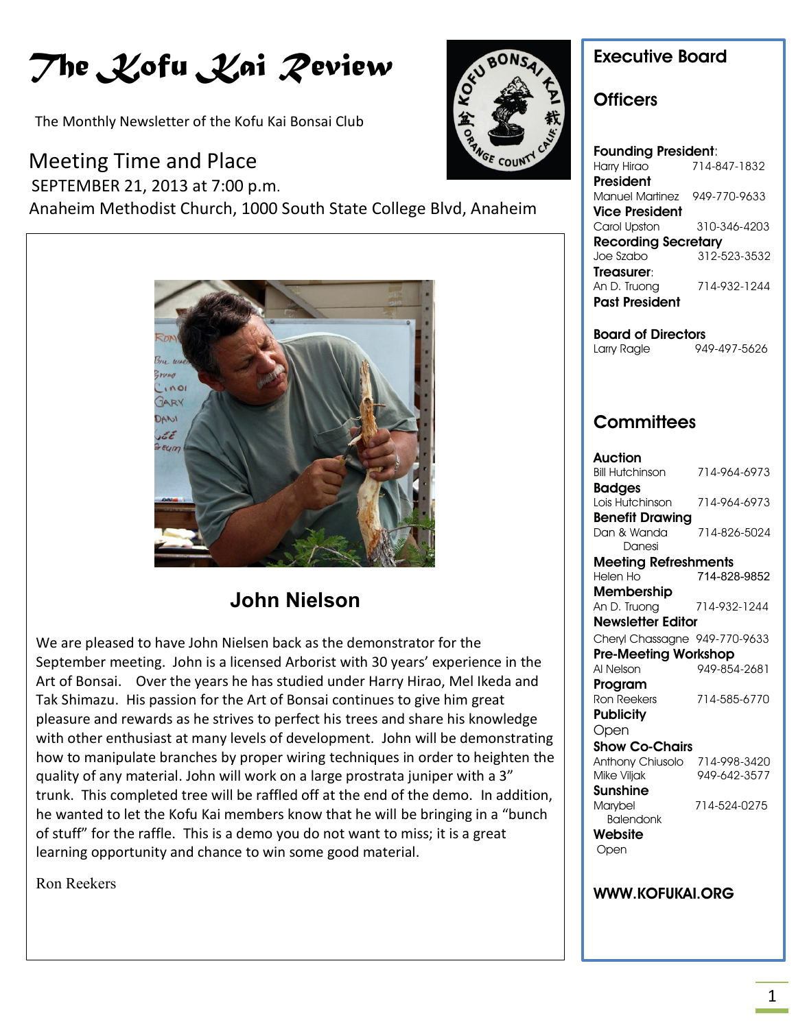# *The Kofu Kai Review*

The Monthly Newsletter of the Kofu Kai Bonsai Club

### Meeting Time and Place

 SEPTEMBER 21, 2013 at 7:00 p.m. Anaheim Methodist Church, 1000 South State College Blvd, Anaheim



## **UPCOMING EVENTS John Nielson**

We are pleased to have John Nielsen back as the demonstrator for the September meeting. John is a licensed Arborist with 30 years' experience in the Art of Bonsai. Over the years he has studied under Harry Hirao, Mel Ikeda and Tak Shimazu. His passion for the Art of Bonsai continues to give him great pleasure and rewards as he strives to perfect his trees and share his knowledge with other enthusiast at many levels of development. John will be demonstrating how to manipulate branches by proper wiring techniques in order to heighten the quality of any material. John will work on a large prostrata juniper with a 3" trunk. This completed tree will be raffled off at the end of the demo. In addition, he wanted to let the Kofu Kai members know that he will be bringing in a "bunch of stuff" for the raffle. This is a demo you do not want to miss; it is a great learning opportunity and chance to win some good material.

Ron Reekers



### **Executive Board**

#### **Officers**

| <b>Founding President:</b> |              |  |
|----------------------------|--------------|--|
| Harry Hirao                | 714-847-1832 |  |
| President                  |              |  |
| Manuel Martinez            | 949-770-9633 |  |
| Vice President             |              |  |
| Carol Upston               | 310-346-4203 |  |
| <b>Recording Secretary</b> |              |  |
| Joe Szabo                  | 312-523-3532 |  |
| Treasurer:                 |              |  |
| An D. Truong               | 714-932-1244 |  |
| <b>Past President</b>      |              |  |
|                            |              |  |

**Board of Directors** Larry Ragle 949-497-5626

### **Committees**

| Auction                       |              |  |
|-------------------------------|--------------|--|
| Bill Hutchinson               | 714-964-6973 |  |
| <b>Badges</b>                 |              |  |
| Lois Hutchinson               | 714-964-6973 |  |
| <b>Benefit Drawing</b>        |              |  |
| Dan & Wanda                   | 714-826-5024 |  |
| Danesi                        |              |  |
| Meeting Refreshments          |              |  |
| Helen Ho                      | 714-828-9852 |  |
| <b>Membership</b>             |              |  |
| An D. Truong                  | 714-932-1244 |  |
| <b>Newsletter Editor</b>      |              |  |
| Cheryl Chassagne 949-770-9633 |              |  |
| <b>Pre-Meeting Workshop</b>   |              |  |
| Al Nelson                     | 949-854-2681 |  |
| Program                       |              |  |
| <b>Ron Reekers</b>            | 714-585-6770 |  |
| <b>Publicity</b>              |              |  |
| Open                          |              |  |
| Show Co-Chairs                |              |  |
| Anthony Chiusolo              | 714-998-3420 |  |
| Mike Viljak                   | 949-642-3577 |  |
| Sunshine                      |              |  |
| Marybel                       | 714-524-0275 |  |
| <b>Balendonk</b>              |              |  |
| Website                       |              |  |
| Open                          |              |  |

#### **WWW.KOFUKAI.ORG**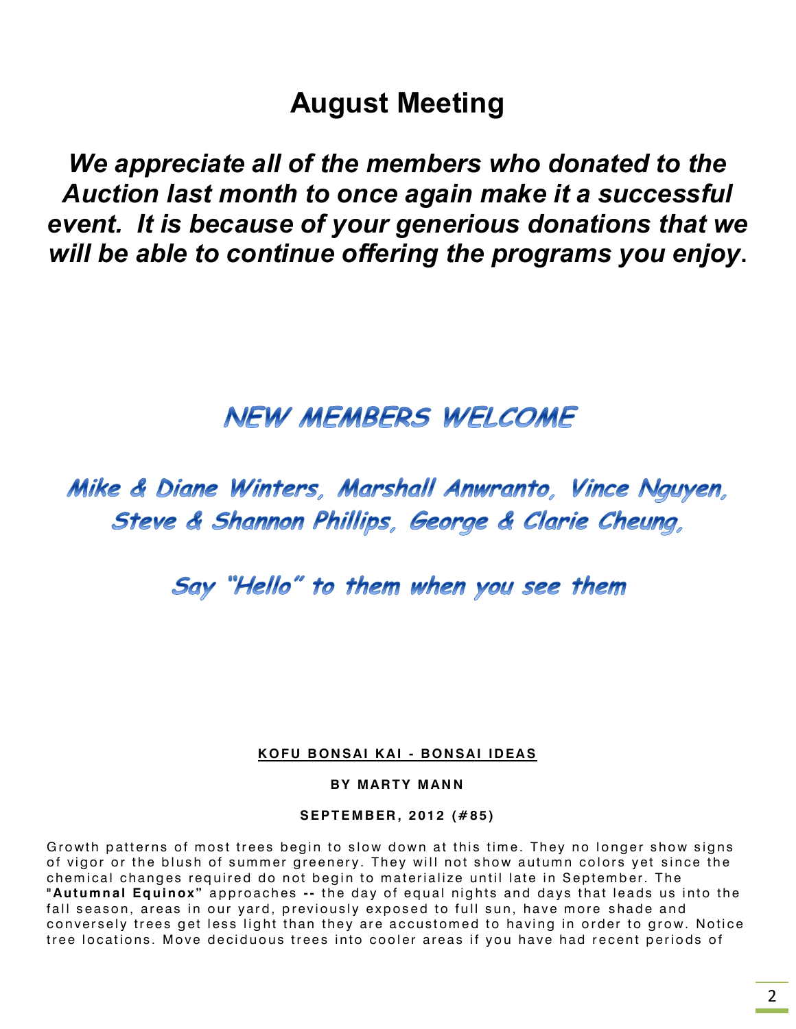## **August Meeting**

*We appreciate all of the members who donated to the Auction last month to once again make it a successful event. It is because of your generious donations that we will be able to continue offering the programs you enjoy***.**

## **NEW MEMBERS WELCOME**

## Mike & Diane Winters, Marshall Anwranto, Vince Nguyen, Steve & Shannon Phillips, George & Clarie Cheung,

Say "Hello" to them when you see them

#### **K O F U B ON S AI K A I - B ON SA I ID EA S**

**BY MARTY MANN** 

**S E PT E M B ER , 2 01 2 ( # 8 5 )**

Growth patterns of most trees begin to slow down at this time. They no longer show signs of vigor or the blush of summer greenery. They will not show autumn colors yet since the chemical changes required do not begin to materialize until late in September. The "Autumnal Equinox" approaches -- the day of equal nights and days that leads us into the fall season, areas in our yard, previously exposed to full sun, have more shade and conversely trees get less light than they are accustomed to having in order to grow. Notice tree locations. Move deciduous trees into cooler areas if you have had recent periods of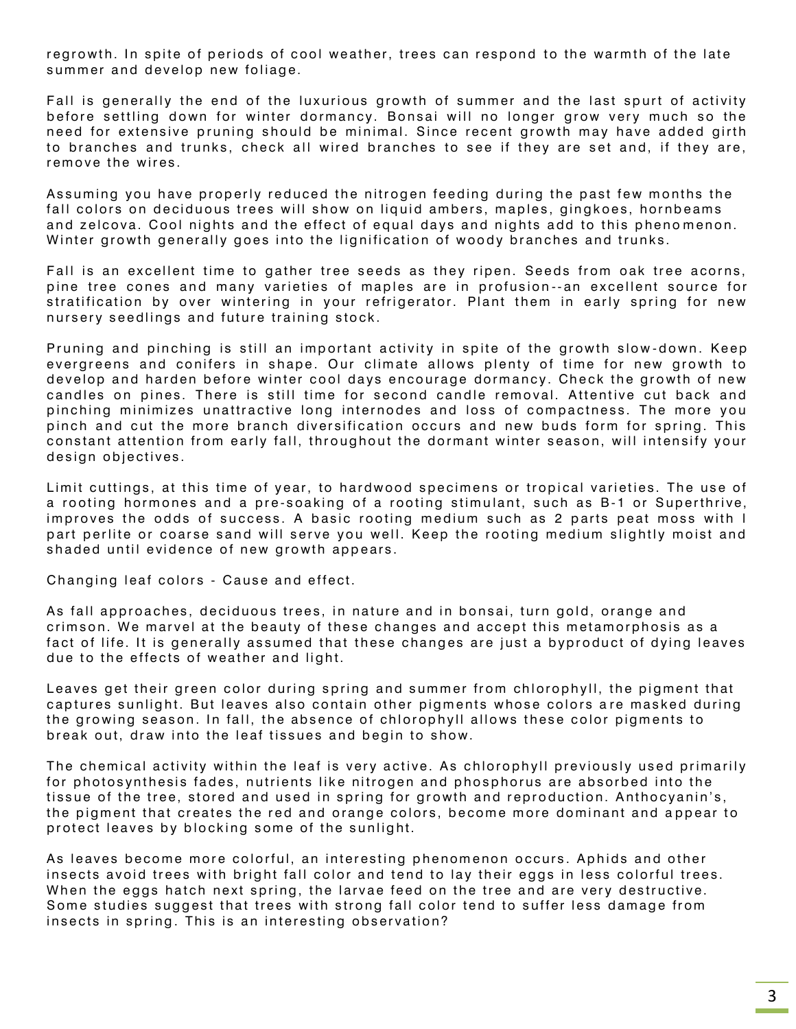regrowth. In spite of periods of cool weather, trees can respond to the warmth of the late summer and develop new foliage.

Fall is generally the end of the luxurious growth of summer and the last spurt of activity before settling down for winter dormancy. Bonsai will no longer grow very much so the need for extensive pruning should be minimal. Since recent growth may have added girth to branches and trunks, check all wired branches to see if they are set and, if they are, remove the wires.

Assuming you have properly reduced the nitrogen feeding during the past few months the fall colors on deciduous trees will show on liquid ambers, maples, gingkoes, hornbeams and zelcova. Cool nights and the effect of equal davs and nights add to this phenomenon. Winter growth generally goes into the lignification of woody branches and trunks.

Fall is an excellent time to gather tree seeds as they ripen. Seeds from oak tree acorns, pine tree cones and many varieties of maples are in profusion--an excellent source for stratification by over wintering in your refrigerator. Plant them in early spring for new nursery seedlings and future training stock.

Pruning and pinching is still an important activity in spite of the growth slow-down. Keep evergreens and conifers in shape. Our climate allows plenty of time for new growth to develop and harden before winter cool days encourage dormancy. Check the growth of new candles on pines. There is still time for second candle removal. Attentive cut back and pinching minimizes unattractive long internodes and loss of compactness. The more you pinch and cut the more branch diversification occurs and new buds form for spring. This constant attention from early fall, throughout the dormant winter season, will intensify your design objectives.

Limit cuttings, at this time of year, to hardwood specimens or tropical varieties. The use of a rooting hormones and a pre-soaking of a rooting stimulant, such as B-1 or Superthrive, improves the odds of success. A basic rooting medium such as 2 parts peat moss with I part perlite or coarse sand will serve you well. Keep the rooting medium slightly moist and shaded until evidence of new growth appears.

Changing leaf colors - Cause and effect.

As fall approaches, deciduous trees, in nature and in bonsai, turn gold, orange and crimson. We marvel at the beauty of these changes and accept this metamorphosis as a fact of life. It is generally assumed that these changes are just a byproduct of dying leaves due to the effects of weather and light.

Leaves get their green color during spring and summer from chlorophyll, the pigment that captures sunlight. But leaves also contain other pigments whose colors are masked during the growing season. In fall, the absence of chlorophyll allows these color pigments to break out, draw into the leaf tissues and begin to show.

The chemical activity within the leaf is very active. As chlorophyll previously used primarily for photosynthesis fades, nutrients like nitrogen and phosphorus are absorbed into the tissue of the tree, stored and used in spring for growth and reproduction. Anthocyanin's, the pigment that creates the red and orange colors, become more dominant and appear to protect leaves by blocking some of the sunlight.

As leaves become more colorful, an interesting phenomenon occurs. Aphids and other insects avoid trees with bright fall color and tend to lay their eggs in less colorful trees. When the eggs hatch next spring, the larvae feed on the tree and are very destructive. Some studies suggest that trees with strong fall color tend to suffer less damage from insects in spring. This is an interesting observation?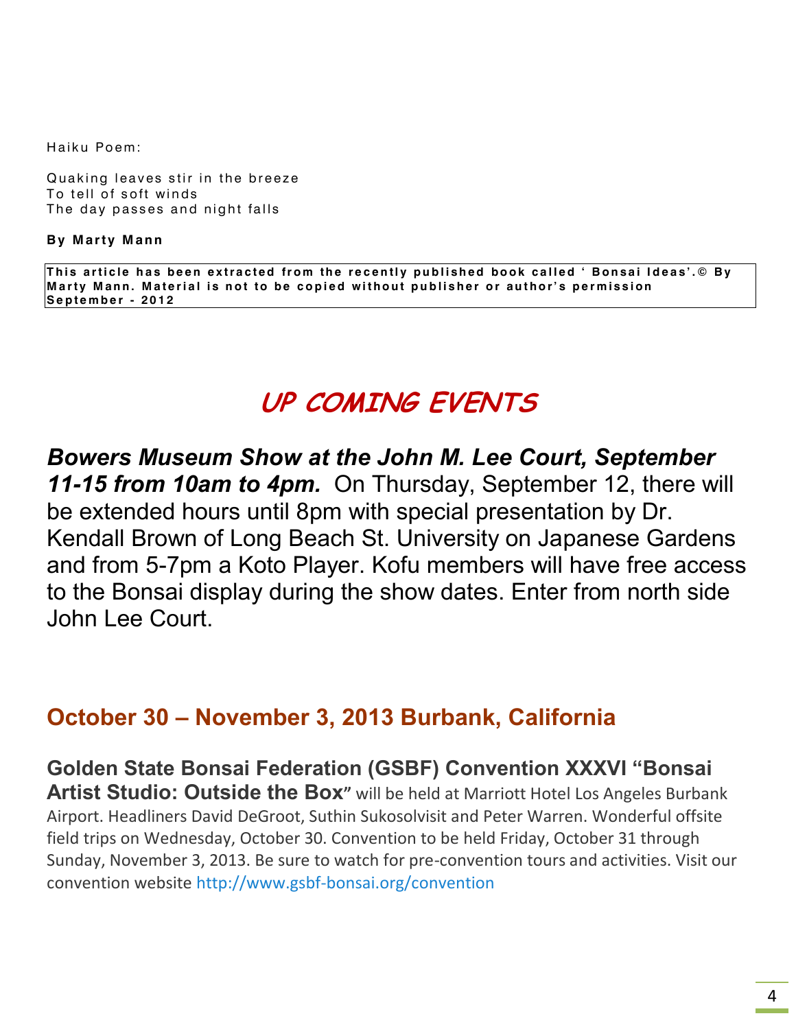Haiku Poem:

Quaking leaves stir in the breeze To tell of soft winds The day passes and night falls

**By Marty Mann** 

This article has been extracted from the recently published book called ' Bonsai Ideas'.© By Marty Mann. Material is not to be copied without publisher or author's permission **Se p t e m b e r - 2 0 1 2**

## **UP COMING EVENTS**

*Bowers Museum Show at the John M. Lee Court, September 11-15 from 10am to 4pm.* On Thursday, September 12, there will be extended hours until 8pm with special presentation by Dr. Kendall Brown of Long Beach St. University on Japanese Gardens and from 5-7pm a Koto Player. Kofu members will have free access to the Bonsai display during the show dates. Enter from north side John Lee Court.

## **October 30 – November 3, 2013 Burbank, California**

**Golden State Bonsai Federation (GSBF) Convention XXXVI "Bonsai Artist Studio: Outside the Box"** will be held at Marriott Hotel Los Angeles Burbank Airport. Headliners David DeGroot, Suthin Sukosolvisit and Peter Warren. Wonderful offsite field trips on Wednesday, October 30. Convention to be held Friday, October 31 through Sunday, November 3, 2013. Be sure to watch for pre-convention tours and activities. Visit our convention website [http://www.gsbf-bonsai.org/convention](http://www.gsbf-bonsai.org/convention/)